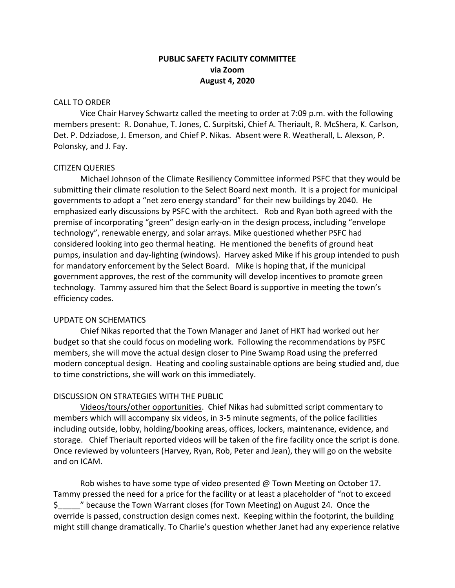# **PUBLIC SAFETY FACILITY COMMITTEE via Zoom August 4, 2020**

### CALL TO ORDER

Vice Chair Harvey Schwartz called the meeting to order at 7:09 p.m. with the following members present: R. Donahue, T. Jones, C. Surpitski, Chief A. Theriault, R. McShera, K. Carlson, Det. P. Ddziadose, J. Emerson, and Chief P. Nikas. Absent were R. Weatherall, L. Alexson, P. Polonsky, and J. Fay.

## CITIZEN QUERIES

Michael Johnson of the Climate Resiliency Committee informed PSFC that they would be submitting their climate resolution to the Select Board next month. It is a project for municipal governments to adopt a "net zero energy standard" for their new buildings by 2040. He emphasized early discussions by PSFC with the architect. Rob and Ryan both agreed with the premise of incorporating "green" design early-on in the design process, including "envelope technology", renewable energy, and solar arrays. Mike questioned whether PSFC had considered looking into geo thermal heating. He mentioned the benefits of ground heat pumps, insulation and day-lighting (windows). Harvey asked Mike if his group intended to push for mandatory enforcement by the Select Board. Mike is hoping that, if the municipal government approves, the rest of the community will develop incentives to promote green technology. Tammy assured him that the Select Board is supportive in meeting the town's efficiency codes.

# UPDATE ON SCHEMATICS

Chief Nikas reported that the Town Manager and Janet of HKT had worked out her budget so that she could focus on modeling work. Following the recommendations by PSFC members, she will move the actual design closer to Pine Swamp Road using the preferred modern conceptual design. Heating and cooling sustainable options are being studied and, due to time constrictions, she will work on this immediately.

# DISCUSSION ON STRATEGIES WITH THE PUBLIC

Videos/tours/other opportunities. Chief Nikas had submitted script commentary to members which will accompany six videos, in 3-5 minute segments, of the police facilities including outside, lobby, holding/booking areas, offices, lockers, maintenance, evidence, and storage. Chief Theriault reported videos will be taken of the fire facility once the script is done. Once reviewed by volunteers (Harvey, Ryan, Rob, Peter and Jean), they will go on the website and on ICAM.

Rob wishes to have some type of video presented @ Town Meeting on October 17. Tammy pressed the need for a price for the facility or at least a placeholder of "not to exceed \$\_\_\_\_\_" because the Town Warrant closes (for Town Meeting) on August 24. Once the override is passed, construction design comes next. Keeping within the footprint, the building might still change dramatically. To Charlie's question whether Janet had any experience relative